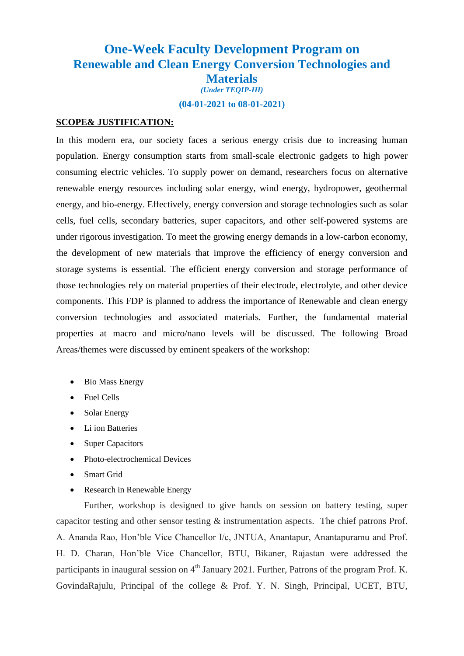## **One-Week Faculty Development Program on Renewable and Clean Energy Conversion Technologies and Materials** *(Under TEQIP-III)*

**(04-01-2021 to 08-01-2021)**

## **SCOPE& JUSTIFICATION:**

In this modern era, our society faces a serious energy crisis due to increasing human population. Energy consumption starts from small-scale electronic gadgets to high power consuming electric vehicles. To supply power on demand, researchers focus on alternative renewable energy resources including solar energy, wind energy, hydropower, geothermal energy, and bio-energy. Effectively, energy conversion and storage technologies such as solar cells, fuel cells, secondary batteries, super capacitors, and other self-powered systems are under rigorous investigation. To meet the growing energy demands in a low-carbon economy, the development of new materials that improve the efficiency of energy conversion and storage systems is essential. The efficient energy conversion and storage performance of those technologies rely on material properties of their electrode, electrolyte, and other device components. This FDP is planned to address the importance of Renewable and clean energy conversion technologies and associated materials. Further, the fundamental material properties at macro and micro/nano levels will be discussed. The following Broad Areas/themes were discussed by eminent speakers of the workshop:

- Bio Mass Energy
- Fuel Cells
- Solar Energy
- Li ion Batteries
- Super Capacitors
- Photo-electrochemical Devices
- Smart Grid
- Research in Renewable Energy

Further, workshop is designed to give hands on session on battery testing, super capacitor testing and other sensor testing & instrumentation aspects. The chief patrons Prof. A. Ananda Rao, Hon'ble Vice Chancellor I/c, JNTUA, Anantapur, Anantapuramu and Prof. H. D. Charan, Hon'ble Vice Chancellor, BTU, Bikaner, Rajastan were addressed the participants in inaugural session on  $4<sup>th</sup>$  January 2021. Further, Patrons of the program Prof. K. GovindaRajulu, Principal of the college & Prof. Y. N. Singh, Principal, UCET, BTU,